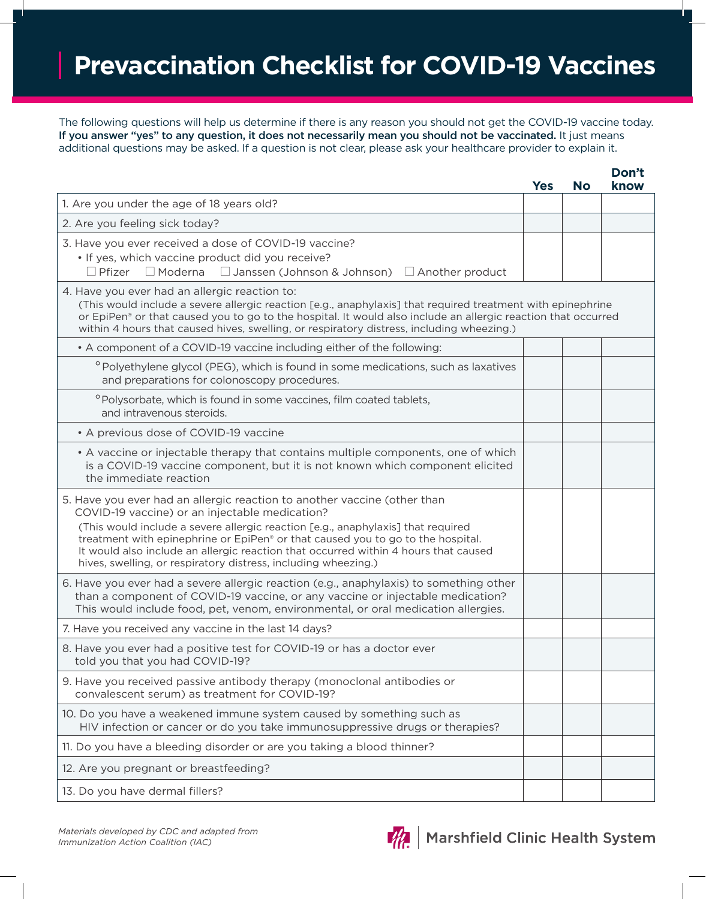## **Prevaccination Checklist for COVID-19 Vaccines**

The following questions will help us determine if there is any reason you should not get the COVID-19 vaccine today. If you answer "yes" to any question, it does not necessarily mean you should not be vaccinated. It just means additional questions may be asked. If a question is not clear, please ask your healthcare provider to explain it.

|                                                                                                                                                                                                                                                                                                                                                                                                                                                            | <b>Yes</b> | <b>No</b> | know |
|------------------------------------------------------------------------------------------------------------------------------------------------------------------------------------------------------------------------------------------------------------------------------------------------------------------------------------------------------------------------------------------------------------------------------------------------------------|------------|-----------|------|
| 1. Are you under the age of 18 years old?                                                                                                                                                                                                                                                                                                                                                                                                                  |            |           |      |
| 2. Are you feeling sick today?                                                                                                                                                                                                                                                                                                                                                                                                                             |            |           |      |
| 3. Have you ever received a dose of COVID-19 vaccine?<br>• If yes, which vaccine product did you receive?<br>$\Box$ Pfizer<br>$\Box$ Moderna<br>$\Box$ Janssen (Johnson & Johnson) $\Box$ Another product                                                                                                                                                                                                                                                  |            |           |      |
| 4. Have you ever had an allergic reaction to:<br>(This would include a severe allergic reaction [e.g., anaphylaxis] that required treatment with epinephrine<br>or EpiPen® or that caused you to go to the hospital. It would also include an allergic reaction that occurred<br>within 4 hours that caused hives, swelling, or respiratory distress, including wheezing.)                                                                                 |            |           |      |
| • A component of a COVID-19 vaccine including either of the following:                                                                                                                                                                                                                                                                                                                                                                                     |            |           |      |
| $^{\circ}$ Polyethylene glycol (PEG), which is found in some medications, such as laxatives<br>and preparations for colonoscopy procedures.                                                                                                                                                                                                                                                                                                                |            |           |      |
| °Polysorbate, which is found in some vaccines, film coated tablets,<br>and intravenous steroids.                                                                                                                                                                                                                                                                                                                                                           |            |           |      |
| • A previous dose of COVID-19 vaccine                                                                                                                                                                                                                                                                                                                                                                                                                      |            |           |      |
| • A vaccine or injectable therapy that contains multiple components, one of which<br>is a COVID-19 vaccine component, but it is not known which component elicited<br>the immediate reaction                                                                                                                                                                                                                                                               |            |           |      |
| 5. Have you ever had an allergic reaction to another vaccine (other than<br>COVID-19 vaccine) or an injectable medication?<br>(This would include a severe allergic reaction [e.g., anaphylaxis] that required<br>treatment with epinephrine or EpiPen® or that caused you to go to the hospital.<br>It would also include an allergic reaction that occurred within 4 hours that caused<br>hives, swelling, or respiratory distress, including wheezing.) |            |           |      |
| 6. Have you ever had a severe allergic reaction (e.g., anaphylaxis) to something other<br>than a component of COVID-19 vaccine, or any vaccine or injectable medication?<br>This would include food, pet, venom, environmental, or oral medication allergies.                                                                                                                                                                                              |            |           |      |
| 7. Have you received any vaccine in the last 14 days?                                                                                                                                                                                                                                                                                                                                                                                                      |            |           |      |
| 8. Have you ever had a positive test for COVID-19 or has a doctor ever<br>told you that you had COVID-19?                                                                                                                                                                                                                                                                                                                                                  |            |           |      |
| 9. Have you received passive antibody therapy (monoclonal antibodies or<br>convalescent serum) as treatment for COVID-19?                                                                                                                                                                                                                                                                                                                                  |            |           |      |
| 10. Do you have a weakened immune system caused by something such as<br>HIV infection or cancer or do you take immunosuppressive drugs or therapies?                                                                                                                                                                                                                                                                                                       |            |           |      |
| 11. Do you have a bleeding disorder or are you taking a blood thinner?                                                                                                                                                                                                                                                                                                                                                                                     |            |           |      |
| 12. Are you pregnant or breastfeeding?                                                                                                                                                                                                                                                                                                                                                                                                                     |            |           |      |
| 13. Do you have dermal fillers?                                                                                                                                                                                                                                                                                                                                                                                                                            |            |           |      |



**Don't**